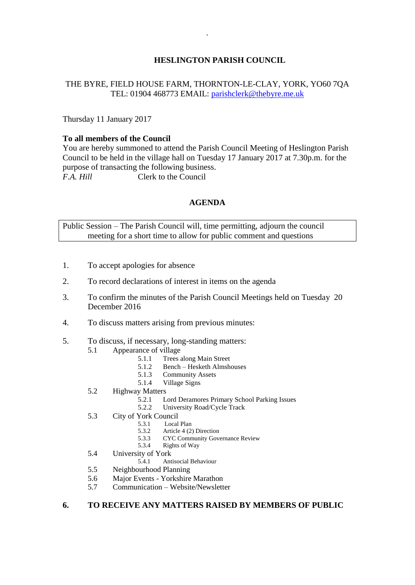# **HESLINGTON PARISH COUNCIL**

## THE BYRE, FIELD HOUSE FARM, THORNTON-LE-CLAY, YORK, YO60 7QA TEL: 01904 468773 EMAIL: [parishclerk@thebyre.me.uk](mailto:parishclerk@thebyre.me.uk)

Thursday 11 January 2017

#### **To all members of the Council**

You are hereby summoned to attend the Parish Council Meeting of Heslington Parish Council to be held in the village hall on Tuesday 17 January 2017 at 7.30p.m. for the purpose of transacting the following business. *F.A. Hill* Clerk to the Council

### **AGENDA**

Public Session – The Parish Council will, time permitting, adjourn the council meeting for a short time to allow for public comment and questions

- 1. To accept apologies for absence
- 2. To record declarations of interest in items on the agenda
- 3. To confirm the minutes of the Parish Council Meetings held on Tuesday 20 December 2016
- 4. To discuss matters arising from previous minutes:
- 5. To discuss, if necessary, long-standing matters:
	- 5.1 Appearance of village
		- 5.1.1 Trees along Main Street
		- 5.1.2 Bench Hesketh Almshouses
		- 5.1.3 Community Assets
		- 5.1.4 Village Signs
	- 5.2 Highway Matters
		- 5.2.1 Lord Deramores Primary School Parking Issues
		- 5.2.2 University Road/Cycle Track
	- 5.3 City of York Council<br>5.3.1 Local
		- 5.3.1 Local Plan<br>5.3.2 Article 4  $(2)$
		- Article 4 (2) Direction
		- 5.3.3 CYC Community Governance Review
		- 5.3.4 Rights of Way
	- 5.4 University of York
		- 5.4.1 Antisocial Behaviour
	- 5.5 Neighbourhood Planning
	- 5.6 Major Events Yorkshire Marathon
	- 5.7 Communication Website/Newsletter

## **6. TO RECEIVE ANY MATTERS RAISED BY MEMBERS OF PUBLIC**